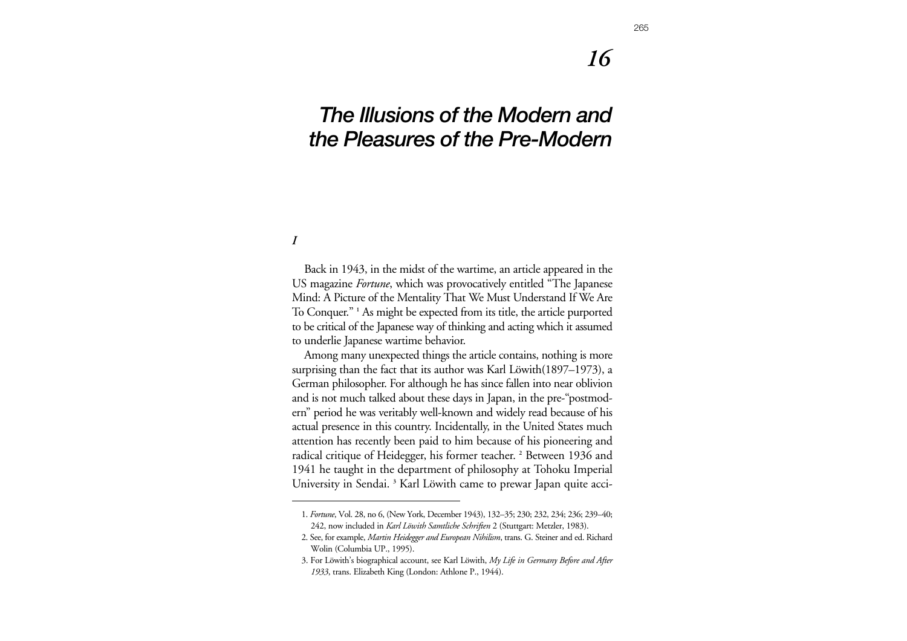## *16*

# *The Illusions of the Modern and the Pleasures of the Pre-Modern*

*I*

Back in 1943, in the midst of the wartime, an article appeared in the US magazine *Fortune*, which was provocatively entitled "The Japanese Mind: A Picture of the Mentality That We Must Understand If We Are To Conquer." **<sup>1</sup>** As might be expected from its title, the article purported to be critical of the Japanese way of thinking and acting which it assumed to underlie Japanese wartime behavior.

Among many unexpected things the article contains, nothing is more surprising than the fact that its author was Karl Löwith(1897–1973), a German philosopher. For although he has since fallen into near oblivion and is not much talked about these days in Japan, in the pre-"postmodern" period he was veritably well-known and widely read because of his actual presence in this country. Incidentally, in the United States much attention has recently been paid to him because of his pioneering and radical critique of Heidegger, his former teacher. **<sup>2</sup>** Between 1936 and 1941 he taught in the department of philosophy at Tohoku Imperial University in Sendai. **<sup>3</sup>** Karl Löwith came to prewar Japan quite acci-

<sup>1.</sup> *Fortune*, Vol. 28, no 6, (New York, December 1943), 132–35; 230; 232, 234; 236; 239–40; 242, now included in *Karl Löwith Samtliche Schriften* 2 (Stuttgart: Metzler, 1983).

<sup>2.</sup> See, for example, *Martin Heidegger and European Nihilism*, trans. G. Steiner and ed. Richard Wolin (Columbia UP., 1995).

<sup>3.</sup> For Löwith's biographical account, see Karl Löwith, *My Life in Germany Before and After 1933*, trans. Elizabeth King (London: Athlone P., 1944).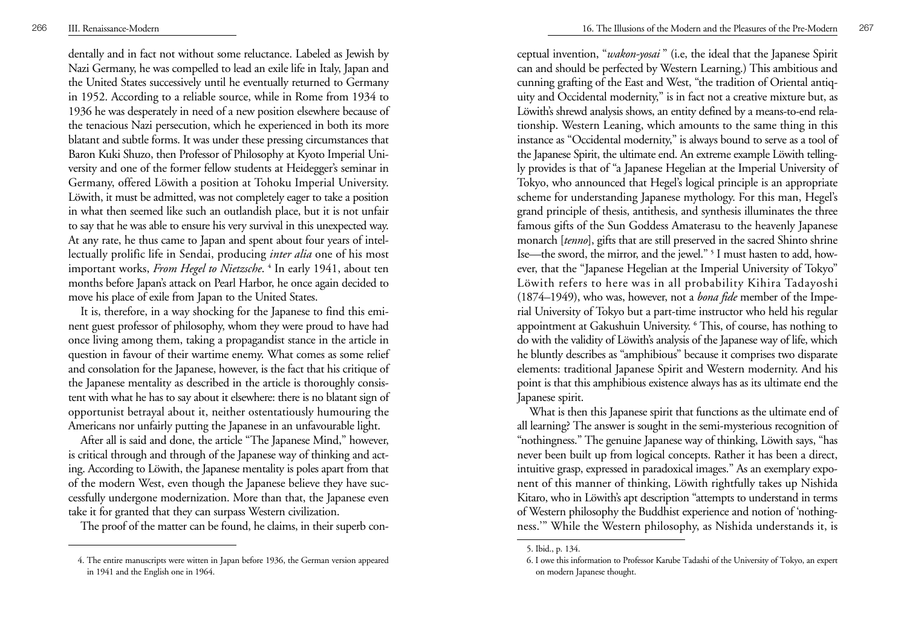dentally and in fact not without some reluctance. Labeled as Jewish by Nazi Germany, he was compelled to lead an exile life in Italy, Japan and the United States successively until he eventually returned to Germany in 1952. According to a reliable source, while in Rome from 1934 to 1936 he was desperately in need of a new position elsewhere because of the tenacious Nazi persecution, which he experienced in both its more blatant and subtle forms. It was under these pressing circumstances that Baron Kuki Shuzo, then Professor of Philosophy at Kyoto Imperial University and one of the former fellow students at Heidegger's seminar in Germany, offered Löwith a position at Tohoku Imperial University. Löwith, it must be admitted, was not completely eager to take a position in what then seemed like such an outlandish place, but it is not unfair to say that he was able to ensure his very survival in this unexpected way. At any rate, he thus came to Japan and spent about four years of intellectually prolific life in Sendai, producing *inter alia* one of his most important works, *From Hegel to Nietzsche*. **<sup>4</sup>** In early 1941, about ten months before Japan's attack on Pearl Harbor, he once again decided to move his place of exile from Japan to the United States.

It is, therefore, in a way shocking for the Japanese to find this eminent guest professor of philosophy, whom they were proud to have had once living among them, taking a propagandist stance in the article in question in favour of their wartime enemy. What comes as some relief and consolation for the Japanese, however, is the fact that his critique of the Japanese mentality as described in the article is thoroughly consistent with what he has to say about it elsewhere: there is no blatant sign of opportunist betrayal about it, neither ostentatiously humouring the Americans nor unfairly putting the Japanese in an unfavourable light.

After all is said and done, the article "The Japanese Mind," however, is critical through and through of the Japanese way of thinking and acting. According to Löwith, the Japanese mentality is poles apart from that of the modern West, even though the Japanese believe they have successfully undergone modernization. More than that, the Japanese even take it for granted that they can surpass Western civilization.

The proof of the matter can be found, he claims, in their superb con-

ceptual invention, "*wakon-yosai* " (i.e, the ideal that the Japanese Spirit can and should be perfected by Western Learning.) This ambitious and cunning grafting of the East and West, "the tradition of Oriental antiquity and Occidental modernity," is in fact not a creative mixture but, as Löwith's shrewd analysis shows, an entity defined by a means-to-end relationship. Western Leaning, which amounts to the same thing in this instance as "Occidental modernity," is always bound to serve as a tool of the Japanese Spirit, the ultimate end. An extreme example Löwith tellingly provides is that of "a Japanese Hegelian at the Imperial University of Tokyo, who announced that Hegel's logical principle is an appropriate scheme for understanding Japanese mythology. For this man, Hegel's grand principle of thesis, antithesis, and synthesis illuminates the three famous gifts of the Sun Goddess Amaterasu to the heavenly Japanese monarch [*tenno*], gifts that are still preserved in the sacred Shinto shrine Ise—the sword, the mirror, and the jewel." **<sup>5</sup>** I must hasten to add, however, that the "Japanese Hegelian at the Imperial University of Tokyo" Löwith refers to here was in all probability Kihira Tadayoshi (1874–1949), who was, however, not a *bona fide* member of the Imperial University of Tokyo but a part-time instructor who held his regular appointment at Gakushuin University. **<sup>6</sup>** This, of course, has nothing to do with the validity of Löwith's analysis of the Japanese way of life, which he bluntly describes as "amphibious" because it comprises two disparate elements: traditional Japanese Spirit and Western modernity. And his point is that this amphibious existence always has as its ultimate end the Japanese spirit.

What is then this Japanese spirit that functions as the ultimate end of all learning? The answer is sought in the semi-mysterious recognition of "nothingness." The genuine Japanese way of thinking, Löwith says, "has never been built up from logical concepts. Rather it has been a direct, intuitive grasp, expressed in paradoxical images." As an exemplary exponent of this manner of thinking, Löwith rightfully takes up Nishida Kitaro, who in Löwith's apt description "attempts to understand in terms of Western philosophy the Buddhist experience and notion of 'nothingness.'" While the Western philosophy, as Nishida understands it, is

<sup>4.</sup> The entire manuscripts were witten in Japan before 1936, the German version appeared in 1941 and the English one in 1964.

<sup>5.</sup> Ibid., p. 134.

<sup>6.</sup> I owe this information to Professor Karube Tadashi of the University of Tokyo, an expert on modern Japanese thought.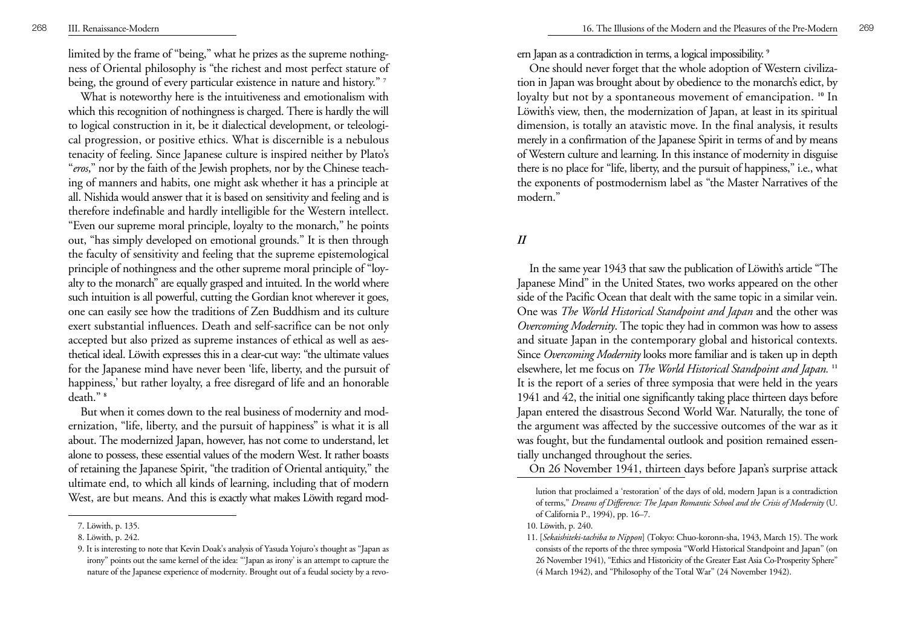limited by the frame of "being," what he prizes as the supreme nothingness of Oriental philosophy is "the richest and most perfect stature of being, the ground of every particular existence in nature and history." **<sup>7</sup>**

What is noteworthy here is the intuitiveness and emotionalism with which this recognition of nothingness is charged. There is hardly the will to logical construction in it, be it dialectical development, or teleological progression, or positive ethics. What is discernible is a nebulous tenacity of feeling. Since Japanese culture is inspired neither by Plato's " *eros*," nor by the faith of the Jewish prophets, nor by the Chinese teaching of manners and habits, one might ask whether it has a principle at all. Nishida would answer that it is based on sensitivity and feeling and is therefore indefinable and hardly intelligible for the Western intellect. "Even our supreme moral principle, loyalty to the monarch," he points out, "has simply developed on emotional grounds." It is then through the faculty of sensitivity and feeling that the supreme epistemological principle of nothingness and the other supreme moral principle of "loyalty to the monarch" are equally grasped and intuited. In the world where such intuition is all powerful, cutting the Gordian knot wherever it goes, one can easily see how the traditions of Zen Buddhism and its culture exert substantial influences. Death and self-sacrifice can be not only accepted but also prized as supreme instances of ethical as well as aesthetical ideal. Löwith expresses this in a clear-cut way: "the ultimate values for the Japanese mind have never been 'life, liberty, and the pursuit of happiness,' but rather loyalty, a free disregard of life and an honorable death." **<sup>8</sup>**

But when it comes down to the real business of modernity and modernization, "life, liberty, and the pursuit of happiness" is what it is all about. The modernized Japan, however, has not come to understand, let alone to possess, these essential values of the modern West. It rather boasts of retaining the Japanese Spirit, "the tradition of Oriental antiquity," the ultimate end, to which all kinds of learning, including that of modern West, are but means. And this is exactly what makes Löwith regard modern Japan as a contradiction in terms, a logical impossibility. **<sup>9</sup>**

One should never forget that the whole adoption of Western civilization in Japan was brought about by obedience to the monarch's edict, by loyalty but not by a spontaneous movement of emancipation. **<sup>10</sup>** In Löwith's view, then, the modernization of Japan, at least in its spiritual dimension, is totally an atavistic move. In the final analysis, it results merely in a confirmation of the Japanese Spirit in terms of and by means of Western culture and learning. In this instance of modernity in disguise there is no place for "life, liberty, and the pursuit of happiness," i.e., what the exponents of postmodernism label as "the Master Narratives of the modern."

#### *II*

In the same year 1943 that saw the publication of Löwith's article "The Japanese Mind" in the United States, two works appeared on the other side of the Pacific Ocean that dealt with the same topic in a similar vein. One was *The World Historical Standpoint and Japan* and the other was *Overcoming Modernity*. The topic they had in common was how to assess and situate Japan in the contemporary global and historical contexts. Since *Overcoming Modernity* looks more familiar and is taken up in depth elsewhere, let me focus on *The World Historical Standpoint and Japan.* **<sup>11</sup>** It is the report of a series of three symposia that were held in the years 1941 and 42, the initial one significantly taking place thirteen days before Japan entered the disastrous Second World War. Naturally, the tone of the argument was affected by the successive outcomes of the war as it was fought, but the fundamental outlook and position remained essentially unchanged throughout the series.

On 26 November 1941, thirteen days before Japan's surprise attack

<sup>7.</sup> Löwith, p. 135.

<sup>8.</sup> Löwith, p. 242.

<sup>9.</sup> It is interesting to note that Kevin Doak's analysis of Yasuda Yojuro's thought as "Japan as irony" points out the same kernel of the idea: "'Japan as irony' is an attempt to capture the nature of the Japanese experience of modernity. Brought out of a feudal society by a revo-

lution that proclaimed a 'restoration' of the days of old, modern Japan is a contradiction of terms," *Dreams of Difference: The Japan Romantic School and the Crisis of Modernity* (U. of California P., 1994), pp. 16–7.

<sup>10.</sup> Löwith, p. 240.

<sup>11. [</sup>*Sekaishiteki-tachiba to Nippon*] (Tokyo: Chuo-koronn-sha, 1943, March 15). The work consists of the reports of the three symposia "World Historical Standpoint and Japan" (on 26 November 1941), "Ethics and Historicity of the Greater East Asia Co-Prosperity Sphere" (4 March 1942), and "Philosophy of the Total War" (24 November 1942).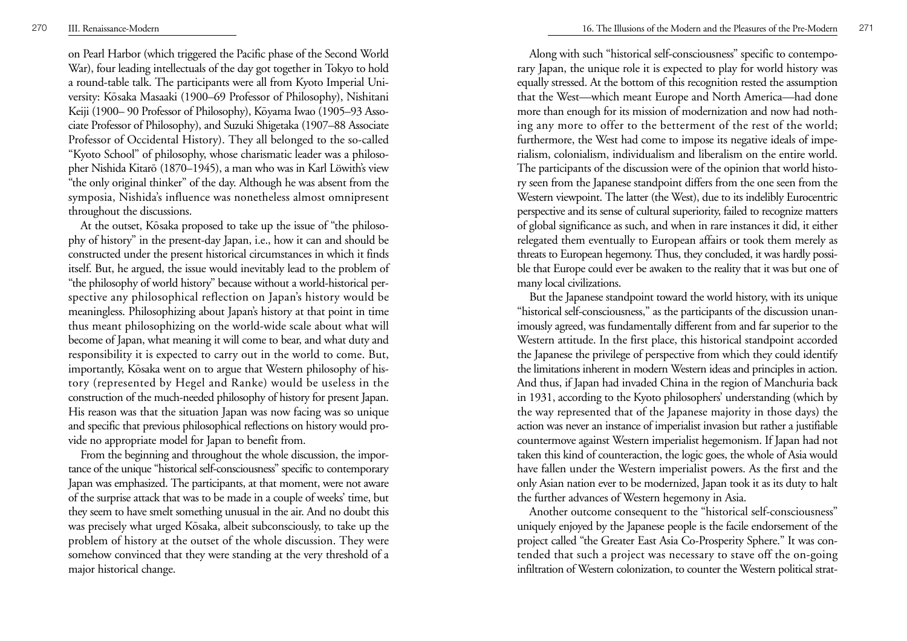on Pearl Harbor (which triggered the Pacific phase of the Second World War), four leading intellectuals of the day got together in Tokyo to hold a round-table talk. The participants were all from Kyoto Imperial University: Kōsaka Masaaki (1900–69 Professor of Philosophy), Nishitani Keiji (1900– 90 Professor of Philosophy), Kōyama Iwao (1905–93 Associate Professor of Philosophy), and Suzuki Shigetaka (1907–88 Associate Professor of Occidental History). They all belonged to the so-called "Kyoto School" of philosophy, whose charismatic leader was a philosopher Nishida Kitarō (1870–1945), a man who was in Karl Löwith's view "the only original thinker" of the day. Although he was absent from the symposia, Nishida's influence was nonetheless almost omnipresent throughout the discussions.

At the outset, Kōsaka proposed to take up the issue of "the philosophy of history" in the present-day Japan, i.e., how it can and should be constructed under the present historical circumstances in which it finds itself. But, he argued, the issue would inevitably lead to the problem of "the philosophy of world history" because without a world-historical perspective any philosophical reflection on Japan's history would be meaningless. Philosophizing about Japan's history at that point in time thus meant philosophizing on the world-wide scale about what will become of Japan, what meaning it will come to bear, and what duty and responsibility it is expected to carry out in the world to come. But, importantly, Kosaka went on to argue that Western philosophy of history (represented by Hegel and Ranke) would be useless in the construction of the much-needed philosophy of history for present Japan. His reason was that the situation Japan was now facing was so unique and specific that previous philosophical reflections on history would provide no appropriate model for Japan to benefit from.

From the beginning and throughout the whole discussion, the importance of the unique "historical self-consciousness" specific to contemporary Japan was emphasized. The participants, at that moment, were not aware of the surprise attack that was to be made in a couple of weeks' time, but they seem to have smelt something unusual in the air. And no doubt this was precisely what urged Kōsaka, albeit subconsciously, to take up the problem of history at the outset of the whole discussion. They were somehow convinced that they were standing at the very threshold of a major historical change.

Along with such "historical self-consciousness" specific to contemporary Japan, the unique role it is expected to play for world history was equally stressed. At the bottom of this recognition rested the assumption that the West—which meant Europe and North America—had done more than enough for its mission of modernization and now had nothing any more to offer to the betterment of the rest of the world; furthermore, the West had come to impose its negative ideals of imperialism, colonialism, individualism and liberalism on the entire world. The participants of the discussion were of the opinion that world history seen from the Japanese standpoint differs from the one seen from the Western viewpoint. The latter (the West), due to its indelibly Eurocentric perspective and its sense of cultural superiority, failed to recognize matters of global significance as such, and when in rare instances it did, it either relegated them eventually to European affairs or took them merely as threats to European hegemony. Thus, they concluded, it was hardly possible that Europe could ever be awaken to the reality that it was but one of many local civilizations.

But the Japanese standpoint toward the world history, with its unique "historical self-consciousness," as the participants of the discussion unanimously agreed, was fundamentally different from and far superior to the Western attitude. In the first place, this historical standpoint accorded the Japanese the privilege of perspective from which they could identify the limitations inherent in modern Western ideas and principles in action. And thus, if Japan had invaded China in the region of Manchuria back in 1931, according to the Kyoto philosophers' understanding (which by the way represented that of the Japanese majority in those days) the action was never an instance of imperialist invasion but rather a justifiable countermove against Western imperialist hegemonism. If Japan had not taken this kind of counteraction, the logic goes, the whole of Asia would have fallen under the Western imperialist powers. As the first and the only Asian nation ever to be modernized, Japan took it as its duty to halt the further advances of Western hegemony in Asia.

Another outcome consequent to the "historical self-consciousness" uniquely enjoyed by the Japanese people is the facile endorsement of the project called "the Greater East Asia Co-Prosperity Sphere." It was contended that such a project was necessary to stave off the on-going infiltration of Western colonization, to counter the Western political strat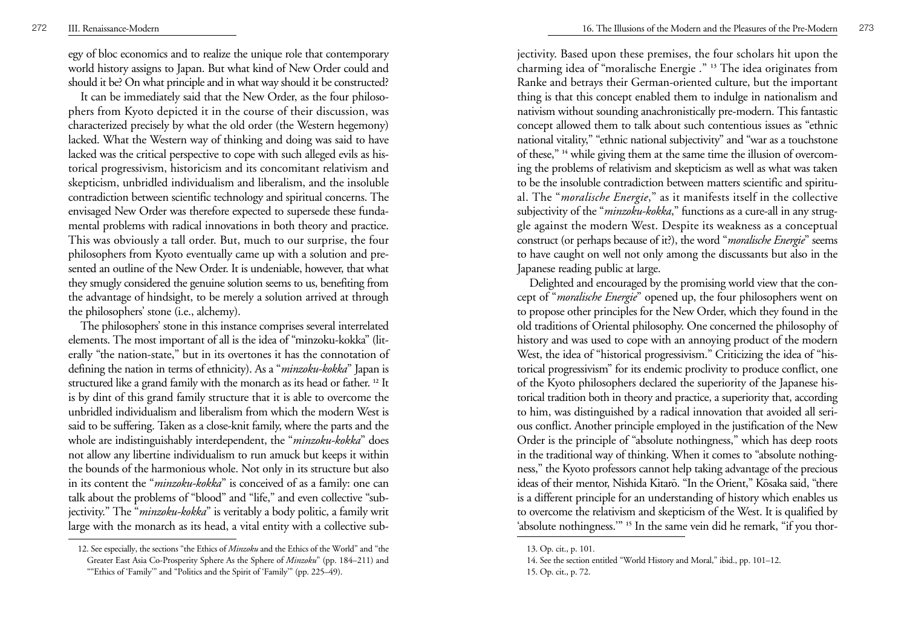egy of bloc economics and to realize the unique role that contemporary world history assigns to Japan. But what kind of New Order could and should it be? On what principle and in what way should it be constructed?

It can be immediately said that the New Order, as the four philoso phers from Kyoto depicted it in the course of their discussion, was characterized precisely by what the old order (the Western hegemony) lacked. What the Western way of thinking and doing was said to have lacked was the critical perspective to cope with such alleged evils as his torical progressivism, historicism and its concomitant relativism and skepticism, unbridled individualism and liberalism, and the insoluble contradiction between scientific technology and spiritual concerns. The envisaged New Order was therefore expected to supersede these funda mental problems with radical innovations in both theory and practice. This was obviously a tall order. But, much to our surprise, the four philosophers from Kyoto eventually came up with a solution and pre sented an outline of the New Order. It is undeniable, however, that what they smugly considered the genuine solution seems to us, benefiting from the advantage of hindsight, to be merely a solution arrived at through the philosophers' stone (i.e., alchemy). The philosophers' stone in this instance comprises several interrelated

elements. The most important of all is the idea of "minzoku-kokka" (lit erally "the nation-state," but in its overtones it has the connotation of defining the nation in terms of ethnicity). As a "*minzoku-kokka*" Japan is structured like a grand family with the monarch as its head or father. **<sup>12</sup>** It is by dint of this grand family structure that it is able to overcome the unbridled individualism and liberalism from which the modern West is said to be suffering. Taken as a close-knit family, where the parts and the whole are indistinguishably interdependent, the "*minzoku-kokka*" does not allow any libertine individualism to run amuck but keeps it within the bounds of the harmonious whole. Not only in its structure but also in its content the "*minzoku-kokka*" is conceived of as a family: one can talk about the problems of "blood" and "life," and even collective "sub jectivity." The "*minzoku-kokka*" is veritably a body politic, a family writ large with the monarch as its head, a vital entity with a collective subjectivity. Based upon these premises, the four scholars hit upon the charming idea of "moralische Energie ." **<sup>13</sup>** The idea originates from Ranke and betrays their German-oriented culture, but the important thing is that this concept enabled them to indulge in nationalism and nativism without sounding anachronistically pre-modern. This fantastic concept allowed them to talk about such contentious issues as "ethnic national vitality," "ethnic national subjectivity" and "war as a touchstone of these," **<sup>14</sup>** while giving them at the same time the illusion of overcoming the problems of relativism and skepticism as well as what was taken to be the insoluble contradiction between matters scientific and spiritual. The "*moralische Energie*," as it manifests itself in the collective subjectivity of the "*minzoku-kokka*," functions as a cure-all in any strug<sup>g</sup>le against the modern West. Despite its weakness as a conceptual construct (or perhaps because of it?), the word "*moralische Energie*" seems to have caught on well not only among the discussants but also in the Japanese reading public at large.

Delighted and encouraged by the promising world view that the concept of "*moralische Energie*" opened up, the four philosophers went on to propose other principles for the New Order, which they found in the old traditions of Oriental philosophy. One concerned the philosophy of history and was used to cope with an annoying product of the modern West, the idea of "historical progressivism." Criticizing the idea of "historical progressivism" for its endemic proclivity to produce conflict, one of the Kyoto philosophers declared the superiority of the Japanese historical tradition both in theory and practice, a superiority that, according to him, was distinguished by a radical innovation that avoided all serious conflict. Another principle employed in the justification of the New Order is the principle of "absolute nothingness," which has deep roots in the traditional way of thinking. When it comes to "absolute nothingness," the Kyoto professors cannot help taking advantage of the precious ideas of their mentor, Nishida Kitarō. "In the Orient," Kōsaka said, "there is a different principle for an understanding of history which enables us to overcome the relativism and skepticism of the West. It is qualified by 'absolute nothingness.'" **<sup>15</sup>** In the same vein did he remark, "if you thor-

<sup>12.</sup> See especially, the sections "the Ethics of *Minzoku* and the Ethics of the World" and "the Greater East Asia Co-Prosperity Sphere As the Sphere of *Minzoku*" (pp. 184–211) and ""Ethics of 'Family'" and "Politics and the Spirit of 'Family'" (pp. 225–49).

<sup>13.</sup> Op. cit., p. 101.

<sup>14.</sup> See the section entitled "World History and Moral," ibid., pp. 101–12. 15. Op. cit., p. 72.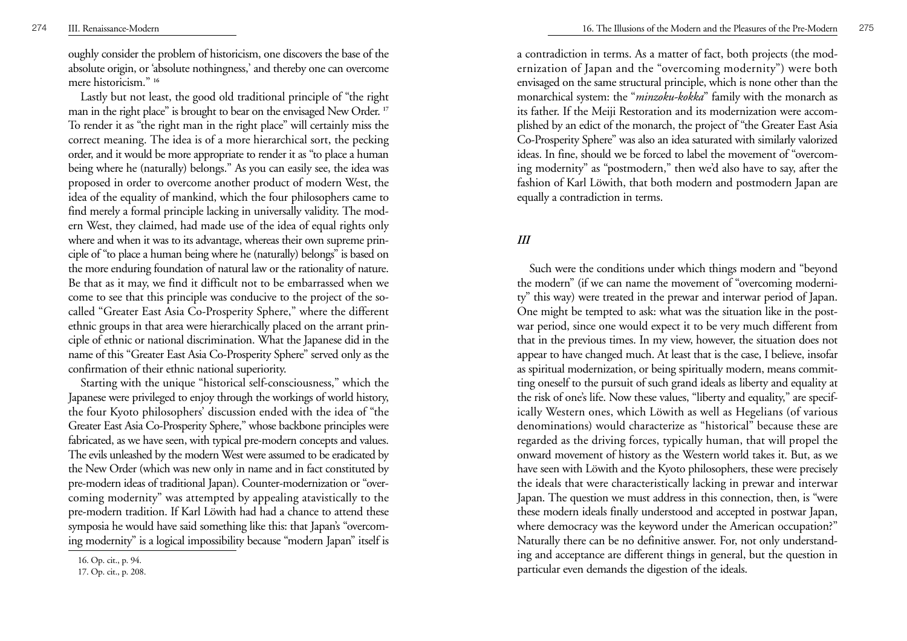oughly consider the problem of historicism, one discovers the base of the absolute origin, or 'absolute nothingness,' and thereby one can overcome mere historicism." **<sup>16</sup>**

Lastly but not least, the good old traditional principle of "the right man in the right place" is brought to bear on the envisaged New Order. **<sup>17</sup>** To render it as "the right man in the right place" will certainly miss the correct meaning. The idea is of a more hierarchical sort, the pecking order, and it would be more appropriate to render it as "to place a human being where he (naturally) belongs." As you can easily see, the idea was proposed in order to overcome another product of modern West, the idea of the equality of mankind, which the four philosophers came to find merely a formal principle lacking in universally validity. The modern West, they claimed, had made use of the idea of equal rights only where and when it was to its advantage, whereas their own supreme principle of "to place a human being where he (naturally) belongs" is based on the more enduring foundation of natural law or the rationality of nature. Be that as it may, we find it difficult not to be embarrassed when we come to see that this principle was conducive to the project of the socalled "Greater East Asia Co-Prosperity Sphere," where the different ethnic groups in that area were hierarchically placed on the arrant principle of ethnic or national discrimination. What the Japanese did in the name of this "Greater East Asia Co-Prosperity Sphere" served only as the confirmation of their ethnic national superiority.

Starting with the unique "historical self-consciousness," which the Japanese were privileged to enjoy through the workings of world history, the four Kyoto philosophers' discussion ended with the idea of "the Greater East Asia Co-Prosperity Sphere," whose backbone principles were fabricated, as we have seen, with typical pre-modern concepts and values. The evils unleashed by the modern West were assumed to be eradicated by the New Order (which was new only in name and in fact constituted by pre-modern ideas of traditional Japan). Counter-modernization or "overcoming modernity" was attempted by appealing atavistically to the pre-modern tradition. If Karl Löwith had had a chance to attend these symposia he would have said something like this: that Japan's "overcoming modernity" is a logical impossibility because "modern Japan" itself is a contradiction in terms. As a matter of fact, both projects (the modernization of Japan and the "overcoming modernity") were both envisaged on the same structural principle, which is none other than the monarchical system: the "*minzoku-kokka*" family with the monarch as its father. If the Meiji Restoration and its modernization were accom<sup>p</sup>lished by an edict of the monarch, the project of "the Greater East Asia Co-Prosperity Sphere" was also an idea saturated with similarly valorized ideas. In fine, should we be forced to label the movement of "overcoming modernity" as "postmodern," then we'd also have to say, after the fashion of Karl Löwith, that both modern and postmodern Japan are equally a contradiction in terms.

### *III*

Such were the conditions under which things modern and "beyond the modern" (if we can name the movement of "overcoming modernity" this way) were treated in the prewar and interwar period of Japan. One might be tempted to ask: what was the situation like in the postwar period, since one would expect it to be very much different from that in the previous times. In my view, however, the situation does not appear to have changed much. At least that is the case, I believe, insofar as spiritual modernization, or being spiritually modern, means committing oneself to the pursuit of such grand ideals as liberty and equality at the risk of one's life. Now these values, "liberty and equality," are specifically Western ones, which Löwith as well as Hegelians (of various denominations) would characterize as "historical" because these are regarded as the driving forces, typically human, that will propel the onward movement of history as the Western world takes it. But, as we have seen with Löwith and the Kyoto philosophers, these were precisely the ideals that were characteristically lacking in prewar and interwar Japan. The question we must address in this connection, then, is "were these modern ideals finally understood and accepted in postwar Japan, where democracy was the keyword under the American occupation?" Naturally there can be no definitive answer. For, not only understanding and acceptance are different things in general, but the question in particular even demands the digestion of the ideals.

<sup>16.</sup> Op. cit., p. 94.

<sup>17.</sup> Op. cit., p. 208.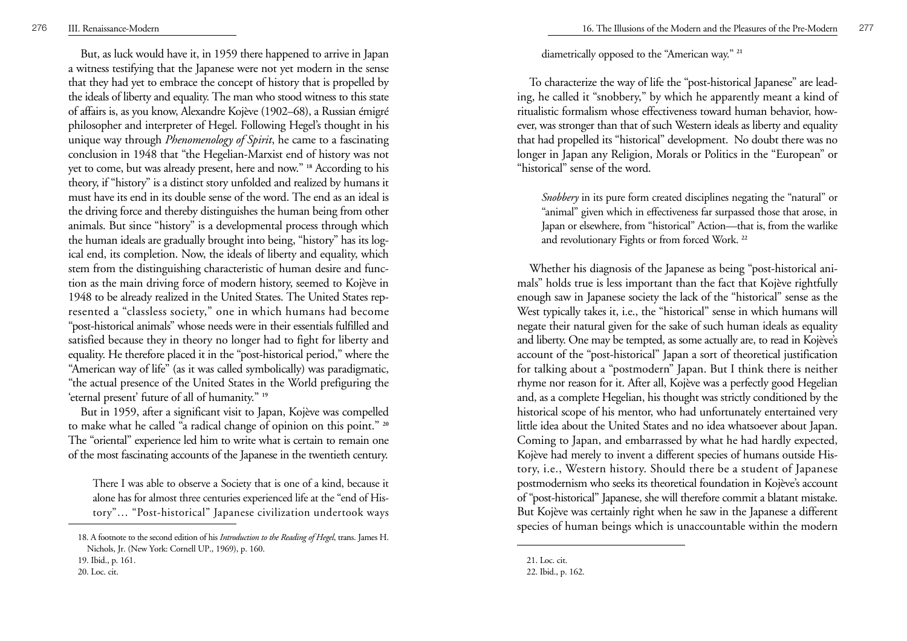But, as luck would have it, in 1959 there happened to arrive in Japan a witness testifying that the Japanese were not yet modern in the sense that they had yet to embrace the concept of history that is propelled by the ideals of liberty and equality. The man who stood witness to this state of affairs is, as you know, Alexandre Kojève (1902–68), a Russian émigré <sup>p</sup>hilosopher and interpreter of Hegel. Following Hegel's thought in his unique way through *Phenomenology of Spirit*, he came to a fascinating conclusion in 1948 that "the Hegelian-Marxist end of history was not yet to come, but was already present, here and now." **<sup>18</sup>** According to his theory, if "history" is a distinct story unfolded and realized by humans it must have its end in its double sense of the word. The end as an ideal is the driving force and thereby distinguishes the human being from other animals. But since "history" is a developmental process through which the human ideals are gradually brought into being, "history" has its logical end, its completion. Now, the ideals of liberty and equality, which stem from the distinguishing characteristic of human desire and function as the main driving force of modern history, seemed to Kojève in 1948 to be already realized in the United States. The United States represented a "classless society," one in which humans had become "post-historical animals" whose needs were in their essentials fulfilled and satisfied because they in theory no longer had to fight for liberty and equality. He therefore placed it in the "post-historical period," where the "American way of life" (as it was called symbolically) was paradigmatic, "the actual presence of the United States in the World prefiguring the 'eternal present' future of all of humanity." **<sup>19</sup>**

But in 1959, after a significant visit to Japan, Kojève was compelled to make what he called "a radical change of opinion on this point." **<sup>20</sup>** The "oriental" experience led him to write what is certain to remain one of the most fascinating accounts of the Japanese in the twentieth century.

There I was able to observe a Society that is one of a kind, because it alone has for almost three centuries experienced life at the "end of History"… "Post-historical" Japanese civilization undertook ways

diametrically opposed to the "American way." **<sup>21</sup>**

To characterize the way of life the "post-historical Japanese" are leading, he called it "snobbery," by which he apparently meant a kind of ritualistic formalism whose effectiveness toward human behavior, however, was stronger than that of such Western ideals as liberty and equality that had propelled its "historical" development. No doubt there was no longer in Japan any Religion, Morals or Politics in the "European" or "historical" sense of the word.

*Snobbery* in its pure form created disciplines negating the "natural" or "animal" given which in effectiveness far surpassed those that arose, in Japan or elsewhere, from "historical" Action—that is, from the warlike and revolutionary Fights or from forced Work. **<sup>22</sup>**

Whether his diagnosis of the Japanese as being "post-historical animals" holds true is less important than the fact that Kojève rightfully enough saw in Japanese society the lack of the "historical" sense as the West typically takes it, i.e., the "historical" sense in which humans will negate their natural given for the sake of such human ideals as equality and liberty. One may be tempted, as some actually are, to read in Kojève's account of the "post-historical" Japan a sort of theoretical justification for talking about a "postmodern" Japan. But I think there is neither rhyme nor reason for it. After all, Kojève was a perfectly good Hegelian and, as a complete Hegelian, his thought was strictly conditioned by the historical scope of his mentor, who had unfortunately entertained very little idea about the United States and no idea whatsoever about Japan. Coming to Japan, and embarrassed by what he had hardly expected, Kojève had merely to invent a different species of humans outside History, i.e., Western history. Should there be a student of Japanese postmodernism who seeks its theoretical foundation in Kojève's account of "post-historical" Japanese, she will therefore commit a blatant mistake. But Kojève was certainly right when he saw in the Japanese a different species of human beings which is unaccountable within the modern

<sup>18.</sup> A footnote to the second edition of his *Introduction to the Reading of Hegel*, trans. James H. Nichols, Jr. (New York: Cornell UP., 1969), p. 160.

<sup>19.</sup> Ibid., p. 161.

<sup>20.</sup> Loc. cit.

<sup>21.</sup> Loc. cit. 22. Ibid., p. 162.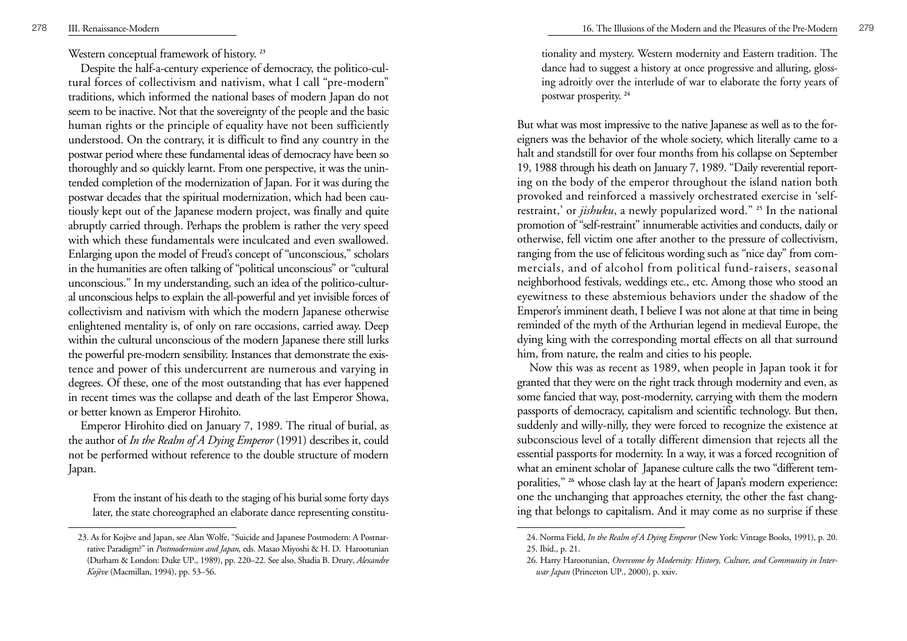Western conceptual framework of history. **<sup>23</sup>**

Despite the half-a-century experience of democracy, the politico-cultural forces of collectivism and nativism, what I call "pre-modern" traditions, which informed the national bases of modern Japan do not seem to be inactive. Not that the sovereignty of the people and the basic human rights or the principle of equality have not been sufficiently understood. On the contrary, it is difficult to find any country in the postwar period where these fundamental ideas of democracy have been so thoroughly and so quickly learnt. From one perspective, it was the unintended completion of the modernization of Japan. For it was during the postwar decades that the spiritual modernization, which had been cautiously kept out of the Japanese modern project, was finally and quite abruptly carried through. Perhaps the problem is rather the very speed with which these fundamentals were inculcated and even swallowed. Enlarging upon the model of Freud's concept of "unconscious," scholars in the humanities are often talking of "political unconscious" or "cultural unconscious." In my understanding, such an idea of the politico-cultural unconscious helps to explain the all-powerful and yet invisible forces of collectivism and nativism with which the modern Japanese otherwise enlightened mentality is, of only on rare occasions, carried away. Deep within the cultural unconscious of the modern Japanese there still lurks the powerful pre-modern sensibility. Instances that demonstrate the existence and power of this undercurrent are numerous and varying in degrees. Of these, one of the most outstanding that has ever happened in recent times was the collapse and death of the last Emperor Showa, or better known as Emperor Hirohito.

Emperor Hirohito died on January 7, 1989. The ritual of burial, as the author of *In the Realm of A Dying Emperor* (1991) describes it, could not be performed without reference to the double structure of modern Japan.

From the instant of his death to the staging of his burial some forty days later, the state choreographed an elaborate dance representing constitu16. The Illusions of the Modern and the Pleasures of the Pre-Modern 279

tionality and mystery. Western modernity and Eastern tradition. The dance had to suggest a history at once progressive and alluring, glossing adroitly over the interlude of war to elaborate the forty years of postwar prosperity. **<sup>24</sup>**

But what was most impressive to the native Japanese as well as to the foreigners was the behavior of the whole society, which literally came to a halt and standstill for over four months from his collapse on September 19, 1988 through his death on January 7, 1989. "Daily reverential reporting on the body of the emperor throughout the island nation both provoked and reinforced a massively orchestrated exercise in 'selfrestraint,' or *jishuku*, a newly popularized word." **<sup>25</sup>** In the national promotion of "self-restraint" innumerable activities and conducts, daily or otherwise, fell victim one after another to the pressure of collectivism, ranging from the use of felicitous wording such as "nice day" from commercials, and of alcohol from political fund-raisers, seasonal neighborhood festivals, weddings etc., etc. Among those who stood an eyewitness to these abstemious behaviors under the shadow of the Emperor's imminent death, I believe I was not alone at that time in being reminded of the myth of the Arthurian legend in medieval Europe, the dying king with the corresponding mortal effects on all that surround him, from nature, the realm and cities to his people.

Now this was as recent as 1989, when people in Japan took it for granted that they were on the right track through modernity and even, as some fancied that way, post-modernity, carrying with them the modern passports of democracy, capitalism and scientific technology. But then, suddenly and willy-nilly, they were forced to recognize the existence at subconscious level of a totally different dimension that rejects all the essential passports for modernity. In a way, it was a forced recognition of what an eminent scholar of Japanese culture calls the two "different temporalities," <sup>26</sup> whose clash lay at the heart of Japan's modern experience: one the unchanging that approaches eternity, the other the fast changing that belongs to capitalism. And it may come as no surprise if these

<sup>23.</sup> As for Kojève and Japan, see Alan Wolfe, "Suicide and Japanese Postmodern: A Postnarrative Paradigm?" in *Postmodernism and Japan,* eds. Masao Miyoshi & H. D. Harootunian (Durham & London: Duke UP., 1989), pp. 220–22. See also, Shadia B. Drury, *Alexandre Kojève* (Macmillan, 1994), pp. 53–56.

<sup>24.</sup> Norma Field, *In the Realm of A Dying Emperor* (New York: Vintage Books, 1991), p. 20. 25. Ibid., p. 21.

<sup>26.</sup> Harry Harootunian, *Overcome by Modernity: History, Culture, and Community in Interwar Japan* (Princeton UP., 2000), p. xxiv.